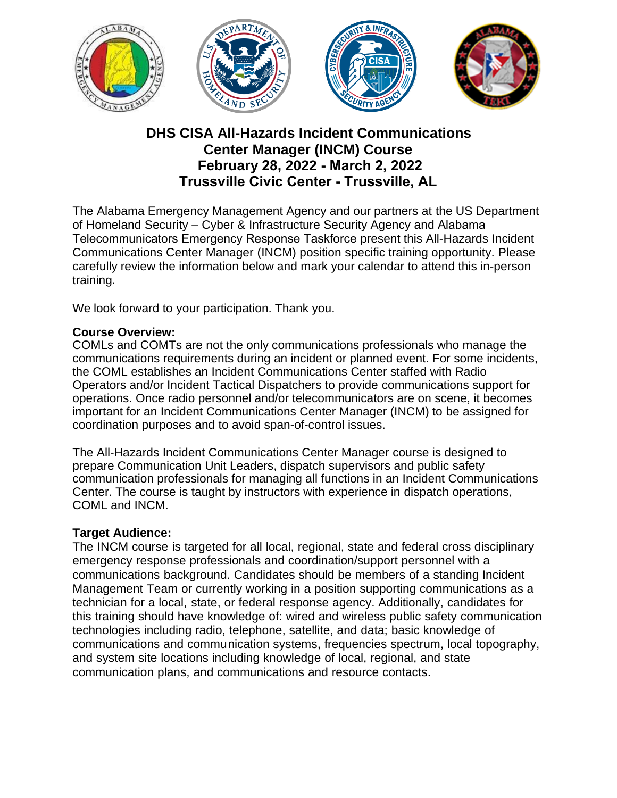

# **DHS CISA All-Hazards Incident Communications Center Manager (INCM) Course February 28, 2022 - March 2, 2022 Trussville Civic Center - Trussville, AL**

The Alabama Emergency Management Agency and our partners at the US Department of Homeland Security – Cyber & Infrastructure Security Agency and Alabama Telecommunicators Emergency Response Taskforce present this All-Hazards Incident Communications Center Manager (INCM) position specific training opportunity. Please carefully review the information below and mark your calendar to attend this in-person training.

We look forward to your participation. Thank you.

#### **Course Overview:**

COMLs and COMTs are not the only communications professionals who manage the communications requirements during an incident or planned event. For some incidents, the COML establishes an Incident Communications Center staffed with Radio Operators and/or Incident Tactical Dispatchers to provide communications support for operations. Once radio personnel and/or telecommunicators are on scene, it becomes important for an Incident Communications Center Manager (INCM) to be assigned for coordination purposes and to avoid span-of-control issues.

The All-Hazards Incident Communications Center Manager course is designed to prepare Communication Unit Leaders, dispatch supervisors and public safety communication professionals for managing all functions in an Incident Communications Center. The course is taught by instructors with experience in dispatch operations, COML and INCM.

#### **Target Audience:**

The INCM course is targeted for all local, regional, state and federal cross disciplinary emergency response professionals and coordination/support personnel with a communications background. Candidates should be members of a standing Incident Management Team or currently working in a position supporting communications as a technician for a local, state, or federal response agency. Additionally, candidates for this training should have knowledge of: wired and wireless public safety communication technologies including radio, telephone, satellite, and data; basic knowledge of communications and communication systems, frequencies spectrum, local topography, and system site locations including knowledge of local, regional, and state communication plans, and communications and resource contacts.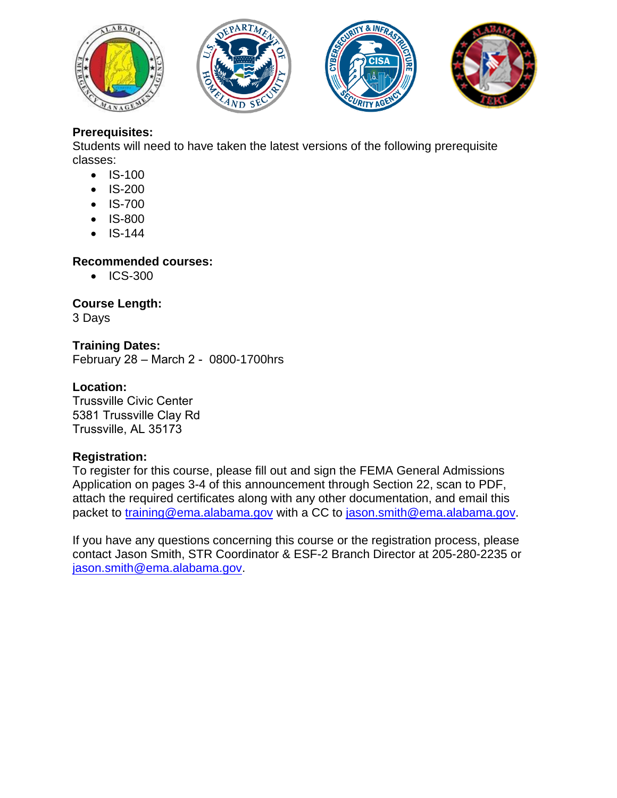







### **Prerequisites:**

Students will need to have taken the latest versions of the following prerequisite classes:

- IS-100
- IS-200
- IS-700
- IS-800
- IS-144

# **Recommended courses:**

• ICS-300

# **Course Length:**

3 Days

#### **Training Dates:**  February 28 – March 2 - 0800-1700hrs

### **Location:**

Trussville Civic Center 5381 Trussville Clay Rd Trussville, AL 35173

# **Registration:**

To register for this course, please fill out and sign the FEMA General Admissions Application on pages 3-4 of this announcement through Section 22, scan to PDF, attach the required certificates along with any other documentation, and email this [packet to training@ema.alab](mailto:training@ema.alabama.gov)ama.gov wi[th a CC to jason.smith@ema.alab](mailto:jason.smith@ema.alabama.gov)ama.gov.

If you have any questions concerning this course or the registration process, please contact Jason Smith, STR Coordinator & ESF-2 Branch Director at 205-280-2235 or [jason.smith@ema.alabama.gov.](mailto:jason.smith@ema.alabama.gov)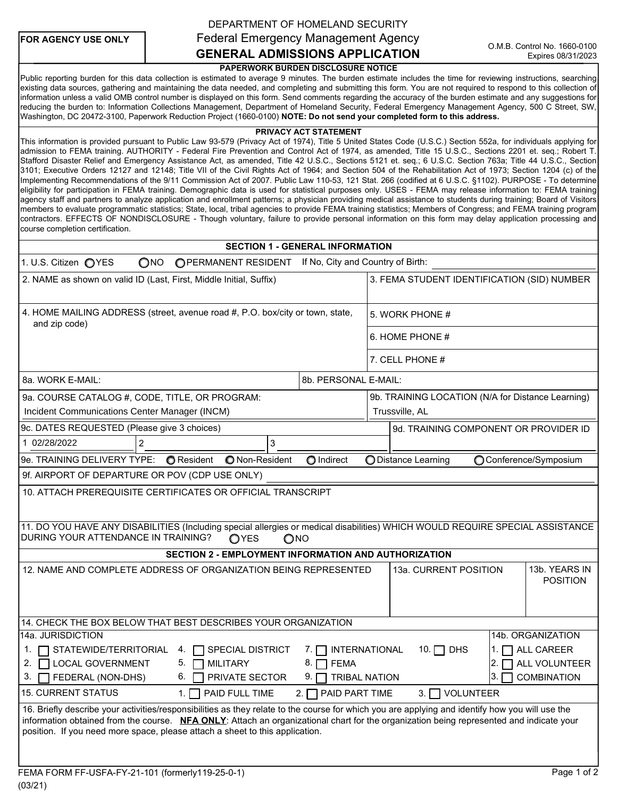| <b>FOR AGENCY USE ONLY</b> |  |  |  |  |
|----------------------------|--|--|--|--|
|----------------------------|--|--|--|--|

### DEPARTMENT OF HOMELAND SECURITY GENERAL ADMISSIONS APPLICATION Federal Emergency Management Agency

#### PAPERWORK BURDEN DISCLOSURE NOTICE

Public reporting burden for this data collection is estimated to average 9 minutes. The burden estimate includes the time for reviewing instructions, searching existing data sources, gathering and maintaining the data needed, and completing and submitting this form. You are not required to respond to this collection of information unless a valid OMB control number is displayed on this form. Send comments regarding the accuracy of the burden estimate and any suggestions for reducing the burden to: Information Collections Management, Department of Homeland Security, Federal Emergency Management Agency, 500 C Street, SW, Washington, DC 20472-3100, Paperwork Reduction Project (1660-0100) NOTE: Do not send your completed form to this address.

#### PRIVACY ACT STATEMENT

This information is provided pursuant to Public Law 93-579 (Privacy Act of 1974), Title 5 United States Code (U.S.C.) Section 552a, for individuals applying for admission to FEMA training. AUTHORITY - Federal Fire Prevention and Control Act of 1974, as amended, Title 15 U.S.C., Sections 2201 et. seq.; Robert T. Stafford Disaster Relief and Emergency Assistance Act, as amended, Title 42 U.S.C., Sections 5121 et. seq.; 6 U.S.C. Section 763a; Title 44 U.S.C., Section 3101; Executive Orders 12127 and 12148; Title VII of the Civil Rights Act of 1964; and Section 504 of the Rehabilitation Act of 1973; Section 1204 (c) of the Implementing Recommendations of the 9/11 Commission Act of 2007. Public Law 110-53, 121 Stat. 266 (codified at 6 U.S.C. §1102). PURPOSE - To determine eligibility for participation in FEMA training. Demographic data is used for statistical purposes only. USES - FEMA may release information to: FEMA training agency staff and partners to analyze application and enrollment patterns; a physician providing medical assistance to students during training; Board of Visitors members to evaluate programmatic statistics; State, local, tribal agencies to provide FEMA training statistics; Members of Congress; and FEMA training program contractors. EFFECTS OF NONDISCLOSURE - Though voluntary, failure to provide personal information on this form may delay application processing and course completion certification.

#### SECTION 1 - GENERAL INFORMATION

| OPERMANENT RESIDENT If No, City and Country of Birth:<br>1. U.S. Citizen OYES<br>$\bigcirc$ NO                                                                                                                                                                                                                                                                                                                                                                                                                                                                                                                                                                                                                                                                                                                                                                                                                        |                                                           |  |  |  |  |
|-----------------------------------------------------------------------------------------------------------------------------------------------------------------------------------------------------------------------------------------------------------------------------------------------------------------------------------------------------------------------------------------------------------------------------------------------------------------------------------------------------------------------------------------------------------------------------------------------------------------------------------------------------------------------------------------------------------------------------------------------------------------------------------------------------------------------------------------------------------------------------------------------------------------------|-----------------------------------------------------------|--|--|--|--|
| 2. NAME as shown on valid ID (Last, First, Middle Initial, Suffix)                                                                                                                                                                                                                                                                                                                                                                                                                                                                                                                                                                                                                                                                                                                                                                                                                                                    | 3. FEMA STUDENT IDENTIFICATION (SID) NUMBER               |  |  |  |  |
| 4. HOME MAILING ADDRESS (street, avenue road #, P.O. box/city or town, state,<br>and zip code)                                                                                                                                                                                                                                                                                                                                                                                                                                                                                                                                                                                                                                                                                                                                                                                                                        | 5. WORK PHONE #                                           |  |  |  |  |
|                                                                                                                                                                                                                                                                                                                                                                                                                                                                                                                                                                                                                                                                                                                                                                                                                                                                                                                       | 6. HOME PHONE #                                           |  |  |  |  |
|                                                                                                                                                                                                                                                                                                                                                                                                                                                                                                                                                                                                                                                                                                                                                                                                                                                                                                                       | 7. CELL PHONE #                                           |  |  |  |  |
| 8a. WORK E-MAIL:<br>8b. PERSONAL E-MAIL:                                                                                                                                                                                                                                                                                                                                                                                                                                                                                                                                                                                                                                                                                                                                                                                                                                                                              |                                                           |  |  |  |  |
| 9a. COURSE CATALOG #, CODE, TITLE, OR PROGRAM:                                                                                                                                                                                                                                                                                                                                                                                                                                                                                                                                                                                                                                                                                                                                                                                                                                                                        | 9b. TRAINING LOCATION (N/A for Distance Learning)         |  |  |  |  |
| Incident Communications Center Manager (INCM)                                                                                                                                                                                                                                                                                                                                                                                                                                                                                                                                                                                                                                                                                                                                                                                                                                                                         | Trussville, AL                                            |  |  |  |  |
| 9c. DATES REQUESTED (Please give 3 choices)                                                                                                                                                                                                                                                                                                                                                                                                                                                                                                                                                                                                                                                                                                                                                                                                                                                                           | 9d. TRAINING COMPONENT OR PROVIDER ID                     |  |  |  |  |
| $\overline{2}$<br>3<br>1 02/28/2022                                                                                                                                                                                                                                                                                                                                                                                                                                                                                                                                                                                                                                                                                                                                                                                                                                                                                   |                                                           |  |  |  |  |
| 9e. TRAINING DELIVERY TYPE:<br><b>O</b> Resident<br>O Non-Resident<br>O Indirect                                                                                                                                                                                                                                                                                                                                                                                                                                                                                                                                                                                                                                                                                                                                                                                                                                      | Conference/Symposium<br><b>ODistance Learning</b>         |  |  |  |  |
| 9f. AIRPORT OF DEPARTURE OR POV (CDP USE ONLY)                                                                                                                                                                                                                                                                                                                                                                                                                                                                                                                                                                                                                                                                                                                                                                                                                                                                        |                                                           |  |  |  |  |
| 10. ATTACH PREREQUISITE CERTIFICATES OR OFFICIAL TRANSCRIPT                                                                                                                                                                                                                                                                                                                                                                                                                                                                                                                                                                                                                                                                                                                                                                                                                                                           |                                                           |  |  |  |  |
| 11. DO YOU HAVE ANY DISABILITIES (Including special allergies or medical disabilities) WHICH WOULD REQUIRE SPECIAL ASSISTANCE<br>DURING YOUR ATTENDANCE IN TRAINING?<br>OYES<br>ONO                                                                                                                                                                                                                                                                                                                                                                                                                                                                                                                                                                                                                                                                                                                                   |                                                           |  |  |  |  |
| SECTION 2 - EMPLOYMENT INFORMATION AND AUTHORIZATION                                                                                                                                                                                                                                                                                                                                                                                                                                                                                                                                                                                                                                                                                                                                                                                                                                                                  |                                                           |  |  |  |  |
| 12. NAME AND COMPLETE ADDRESS OF ORGANIZATION BEING REPRESENTED                                                                                                                                                                                                                                                                                                                                                                                                                                                                                                                                                                                                                                                                                                                                                                                                                                                       | 13b. YEARS IN<br>13a. CURRENT POSITION<br><b>POSITION</b> |  |  |  |  |
| 14. CHECK THE BOX BELOW THAT BEST DESCRIBES YOUR ORGANIZATION                                                                                                                                                                                                                                                                                                                                                                                                                                                                                                                                                                                                                                                                                                                                                                                                                                                         |                                                           |  |  |  |  |
| 14a. JURISDICTION<br>14b. ORGANIZATION<br>1. $\Box$ ALL CAREER<br>1. <b>TEXALGO STATEWIDE/TERRITORIAL</b><br>4. <b>SPECIAL DISTRICT</b><br>7. <b>THERNATIONAL</b><br>10.<br>$\sqcap$ dhs<br>$ 2. \Box$ ALL VOLUNTEER<br>2.   LOCAL GOVERNMENT<br>5. M<br><b>MILITARY</b><br>8. I T<br><b>FEMA</b><br>3.1<br><b>COMBINATION</b><br>FEDERAL (NON-DHS)<br>6.<br>PRIVATE SECTOR<br>9. I<br><b>TRIBAL NATION</b><br>3.<br><b>15. CURRENT STATUS</b><br>PAID FULL TIME<br>VOLUNTEER<br>$1. \Gamma$<br>$2.\Box$<br>PAID PART TIME<br>$3. \Box$<br>16. Briefly describe your activities/responsibilities as they relate to the course for which you are applying and identify how you will use the<br>information obtained from the course. NFA ONLY: Attach an organizational chart for the organization being represented and indicate your<br>position. If you need more space, please attach a sheet to this application. |                                                           |  |  |  |  |